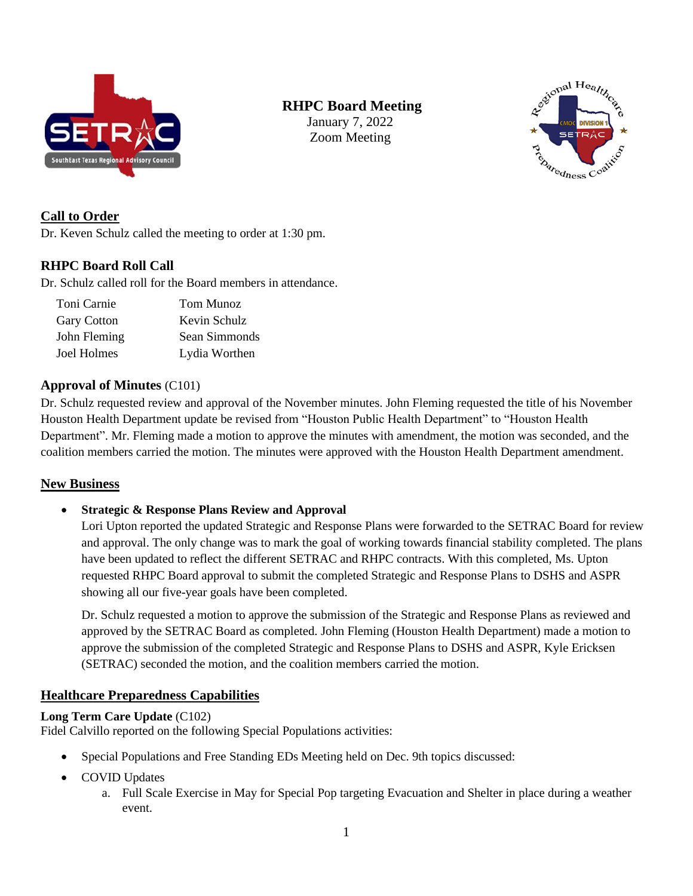

# **RHPC Board Meeting**

January 7, 2022 Zoom Meeting



### **Call to Order**

Dr. Keven Schulz called the meeting to order at 1:30 pm.

### **RHPC Board Roll Call**

Dr. Schulz called roll for the Board members in attendance.

| Toni Carnie        | Tom Munoz     |
|--------------------|---------------|
| <b>Gary Cotton</b> | Kevin Schulz  |
| John Fleming       | Sean Simmonds |
| Joel Holmes        | Lydia Worthen |

#### **Approval of Minutes** (C101)

Dr. Schulz requested review and approval of the November minutes. John Fleming requested the title of his November Houston Health Department update be revised from "Houston Public Health Department" to "Houston Health Department". Mr. Fleming made a motion to approve the minutes with amendment, the motion was seconded, and the coalition members carried the motion. The minutes were approved with the Houston Health Department amendment.

#### **New Business**

• **Strategic & Response Plans Review and Approval**

Lori Upton reported the updated Strategic and Response Plans were forwarded to the SETRAC Board for review and approval. The only change was to mark the goal of working towards financial stability completed. The plans have been updated to reflect the different SETRAC and RHPC contracts. With this completed, Ms. Upton requested RHPC Board approval to submit the completed Strategic and Response Plans to DSHS and ASPR showing all our five-year goals have been completed.

Dr. Schulz requested a motion to approve the submission of the Strategic and Response Plans as reviewed and approved by the SETRAC Board as completed. John Fleming (Houston Health Department) made a motion to approve the submission of the completed Strategic and Response Plans to DSHS and ASPR, Kyle Ericksen (SETRAC) seconded the motion, and the coalition members carried the motion.

#### **Healthcare Preparedness Capabilities**

#### **Long Term Care Update** (C102)

Fidel Calvillo reported on the following Special Populations activities:

- Special Populations and Free Standing EDs Meeting held on Dec. 9th topics discussed:
- COVID Updates
	- a. Full Scale Exercise in May for Special Pop targeting Evacuation and Shelter in place during a weather event.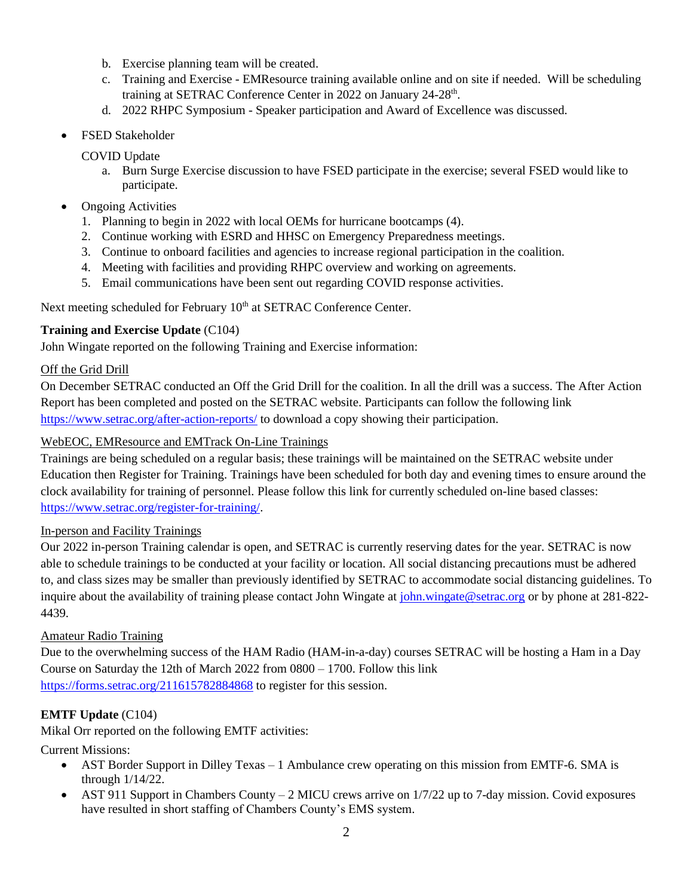- b. Exercise planning team will be created.
- c. Training and Exercise EMResource training available online and on site if needed. Will be scheduling training at SETRAC Conference Center in 2022 on January 24-28<sup>th</sup>.
- d. 2022 RHPC Symposium Speaker participation and Award of Excellence was discussed.
- FSED Stakeholder

COVID Update

- a. Burn Surge Exercise discussion to have FSED participate in the exercise; several FSED would like to participate.
- Ongoing Activities
	- 1. Planning to begin in 2022 with local OEMs for hurricane bootcamps (4).
	- 2. Continue working with ESRD and HHSC on Emergency Preparedness meetings.
	- 3. Continue to onboard facilities and agencies to increase regional participation in the coalition.
	- 4. Meeting with facilities and providing RHPC overview and working on agreements.
	- 5. Email communications have been sent out regarding COVID response activities.

Next meeting scheduled for February 10<sup>th</sup> at SETRAC Conference Center.

### **Training and Exercise Update** (C104)

John Wingate reported on the following Training and Exercise information:

### Off the Grid Drill

On December SETRAC conducted an Off the Grid Drill for the coalition. In all the drill was a success. The After Action Report has been completed and posted on the SETRAC website. Participants can follow the following link <https://www.setrac.org/after-action-reports/> to download a copy showing their participation.

### WebEOC, EMResource and EMTrack On-Line Trainings

Trainings are being scheduled on a regular basis; these trainings will be maintained on the SETRAC website under Education then Register for Training. Trainings have been scheduled for both day and evening times to ensure around the clock availability for training of personnel. Please follow this link for currently scheduled on-line based classes: [https://www.setrac.org/register-for-training/.](https://www.setrac.org/register-for-training/)

#### In-person and Facility Trainings

Our 2022 in-person Training calendar is open, and SETRAC is currently reserving dates for the year. SETRAC is now able to schedule trainings to be conducted at your facility or location. All social distancing precautions must be adhered to, and class sizes may be smaller than previously identified by SETRAC to accommodate social distancing guidelines. To inquire about the availability of training please contact John Wingate at [john.wingate@setrac.org](mailto:john.wingate@setrac.org) or by phone at 281-822-4439.

#### Amateur Radio Training

Due to the overwhelming success of the HAM Radio (HAM-in-a-day) courses SETRAC will be hosting a Ham in a Day Course on Saturday the 12th of March 2022 from 0800 – 1700. Follow this link <https://forms.setrac.org/211615782884868> to register for this session.

#### **EMTF Update** (C104)

Mikal Orr reported on the following EMTF activities:

Current Missions:

- AST Border Support in Dilley Texas 1 Ambulance crew operating on this mission from EMTF-6. SMA is through 1/14/22.
- AST 911 Support in Chambers County 2 MICU crews arrive on 1/7/22 up to 7-day mission. Covid exposures have resulted in short staffing of Chambers County's EMS system.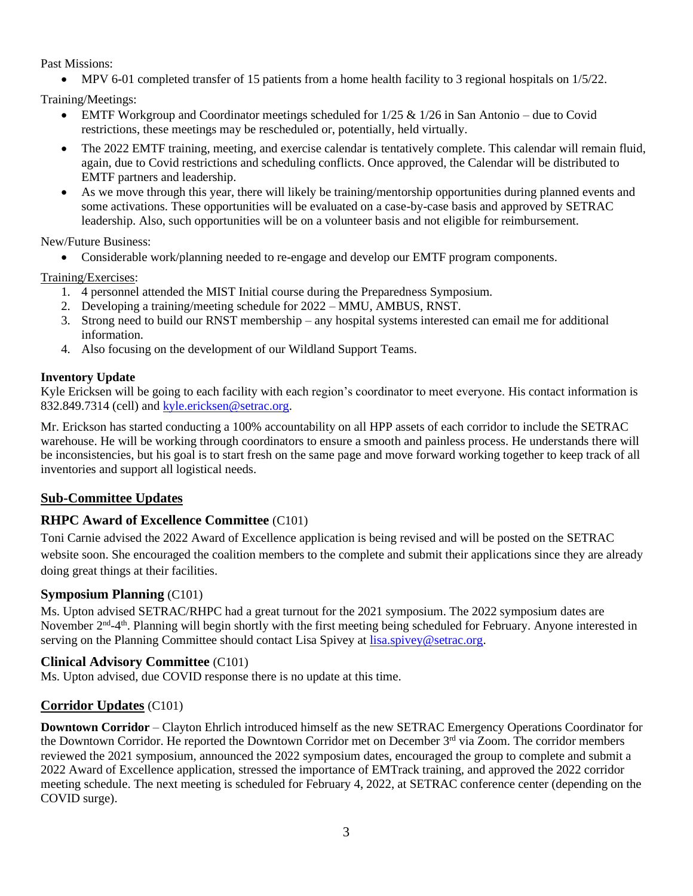Past Missions:

• MPV 6-01 completed transfer of 15 patients from a home health facility to 3 regional hospitals on 1/5/22.

Training/Meetings:

- EMTF Workgroup and Coordinator meetings scheduled for  $1/25 \& 1/26$  in San Antonio due to Covid restrictions, these meetings may be rescheduled or, potentially, held virtually.
- The 2022 EMTF training, meeting, and exercise calendar is tentatively complete. This calendar will remain fluid, again, due to Covid restrictions and scheduling conflicts. Once approved, the Calendar will be distributed to EMTF partners and leadership.
- As we move through this year, there will likely be training/mentorship opportunities during planned events and some activations. These opportunities will be evaluated on a case-by-case basis and approved by SETRAC leadership. Also, such opportunities will be on a volunteer basis and not eligible for reimbursement.

New/Future Business:

• Considerable work/planning needed to re-engage and develop our EMTF program components.

Training/Exercises:

- 1. 4 personnel attended the MIST Initial course during the Preparedness Symposium.
- 2. Developing a training/meeting schedule for 2022 MMU, AMBUS, RNST.
- 3. Strong need to build our RNST membership any hospital systems interested can email me for additional information.
- 4. Also focusing on the development of our Wildland Support Teams.

# **Inventory Update**

Kyle Ericksen will be going to each facility with each region's coordinator to meet everyone. His contact information is 832.849.7314 (cell) and [kyle.ericksen@setrac.org.](mailto:kyle.ericksen@setrac.org)

Mr. Erickson has started conducting a 100% accountability on all HPP assets of each corridor to include the SETRAC warehouse. He will be working through coordinators to ensure a smooth and painless process. He understands there will be inconsistencies, but his goal is to start fresh on the same page and move forward working together to keep track of all inventories and support all logistical needs.

# **Sub-Committee Updates**

# **RHPC Award of Excellence Committee** (C101)

Toni Carnie advised the 2022 Award of Excellence application is being revised and will be posted on the SETRAC website soon. She encouraged the coalition members to the complete and submit their applications since they are already doing great things at their facilities.

# **Symposium Planning** (C101)

Ms. Upton advised SETRAC/RHPC had a great turnout for the 2021 symposium. The 2022 symposium dates are November 2<sup>nd</sup>-4<sup>th</sup>. Planning will begin shortly with the first meeting being scheduled for February. Anyone interested in serving on the Planning Committee should contact Lisa Spivey at [lisa.spivey@setrac.org.](mailto:lisa.spivey@setrac.org)

# **Clinical Advisory Committee** (C101)

Ms. Upton advised, due COVID response there is no update at this time.

# **Corridor Updates** (C101)

**Downtown Corridor** – Clayton Ehrlich introduced himself as the new SETRAC Emergency Operations Coordinator for the Downtown Corridor. He reported the Downtown Corridor met on December 3<sup>rd</sup> via Zoom. The corridor members reviewed the 2021 symposium, announced the 2022 symposium dates, encouraged the group to complete and submit a 2022 Award of Excellence application, stressed the importance of EMTrack training, and approved the 2022 corridor meeting schedule. The next meeting is scheduled for February 4, 2022, at SETRAC conference center (depending on the COVID surge).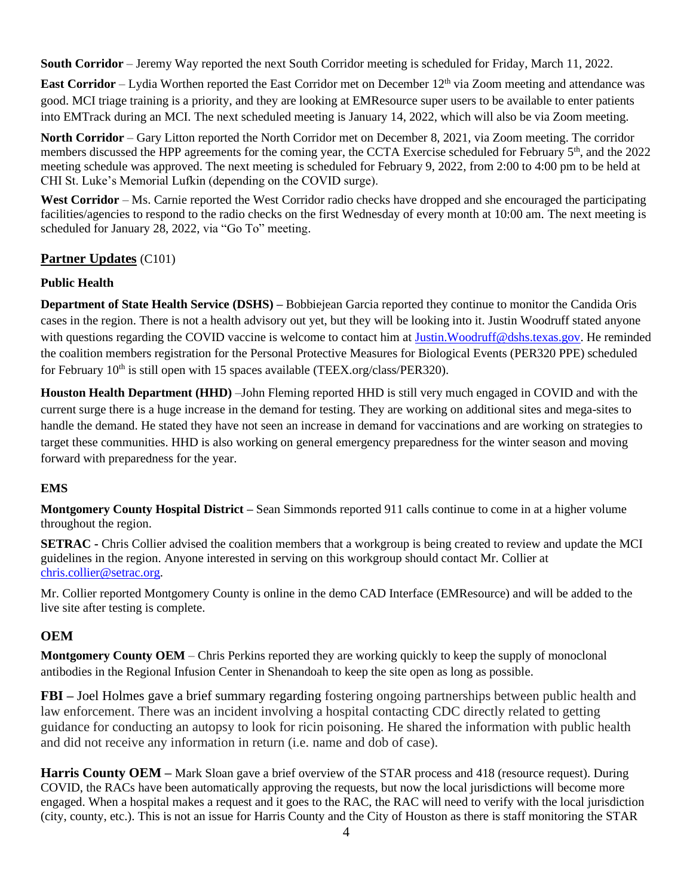**South Corridor** – Jeremy Way reported the next South Corridor meeting is scheduled for Friday, March 11, 2022.

**East Corridor** – Lydia Worthen reported the East Corridor met on December 12<sup>th</sup> via Zoom meeting and attendance was good. MCI triage training is a priority, and they are looking at EMResource super users to be available to enter patients into EMTrack during an MCI. The next scheduled meeting is January 14, 2022, which will also be via Zoom meeting.

**North Corridor** – Gary Litton reported the North Corridor met on December 8, 2021, via Zoom meeting. The corridor members discussed the HPP agreements for the coming year, the CCTA Exercise scheduled for February 5<sup>th</sup>, and the 2022 meeting schedule was approved. The next meeting is scheduled for February 9, 2022, from 2:00 to 4:00 pm to be held at CHI St. Luke's Memorial Lufkin (depending on the COVID surge).

West Corridor – Ms. Carnie reported the West Corridor radio checks have dropped and she encouraged the participating facilities/agencies to respond to the radio checks on the first Wednesday of every month at 10:00 am. The next meeting is scheduled for January 28, 2022, via "Go To" meeting.

# **Partner Updates** (C101)

# **Public Health**

**Department of State Health Service (DSHS) –** Bobbiejean Garcia reported they continue to monitor the Candida Oris cases in the region. There is not a health advisory out yet, but they will be looking into it. Justin Woodruff stated anyone with questions regarding the COVID vaccine is welcome to contact him at [Justin.Woodruff@dshs.texas.gov.](mailto:Justin.Woodruff@dshs.texas.gov) He reminded the coalition members registration for the Personal Protective Measures for Biological Events (PER320 PPE) scheduled for February  $10<sup>th</sup>$  is still open with 15 spaces available (TEEX.org/class/PER320).

**Houston Health Department (HHD)** –John Fleming reported HHD is still very much engaged in COVID and with the current surge there is a huge increase in the demand for testing. They are working on additional sites and mega-sites to handle the demand. He stated they have not seen an increase in demand for vaccinations and are working on strategies to target these communities. HHD is also working on general emergency preparedness for the winter season and moving forward with preparedness for the year.

#### **EMS**

**Montgomery County Hospital District –** Sean Simmonds reported 911 calls continue to come in at a higher volume throughout the region.

**SETRAC -** Chris Collier advised the coalition members that a workgroup is being created to review and update the MCI guidelines in the region. Anyone interested in serving on this workgroup should contact Mr. Collier at [chris.collier@setrac.org.](mailto:chris.collier@setrac.org)

Mr. Collier reported Montgomery County is online in the demo CAD Interface (EMResource) and will be added to the live site after testing is complete.

# **OEM**

**Montgomery County OEM** – Chris Perkins reported they are working quickly to keep the supply of monoclonal antibodies in the Regional Infusion Center in Shenandoah to keep the site open as long as possible.

**FBI –** Joel Holmes gave a brief summary regarding fostering ongoing partnerships between public health and law enforcement. There was an incident involving a hospital contacting CDC directly related to getting guidance for conducting an autopsy to look for ricin poisoning. He shared the information with public health and did not receive any information in return (i.e. name and dob of case).

**Harris County OEM** – Mark Sloan gave a brief overview of the STAR process and 418 (resource request). During COVID, the RACs have been automatically approving the requests, but now the local jurisdictions will become more engaged. When a hospital makes a request and it goes to the RAC, the RAC will need to verify with the local jurisdiction (city, county, etc.). This is not an issue for Harris County and the City of Houston as there is staff monitoring the STAR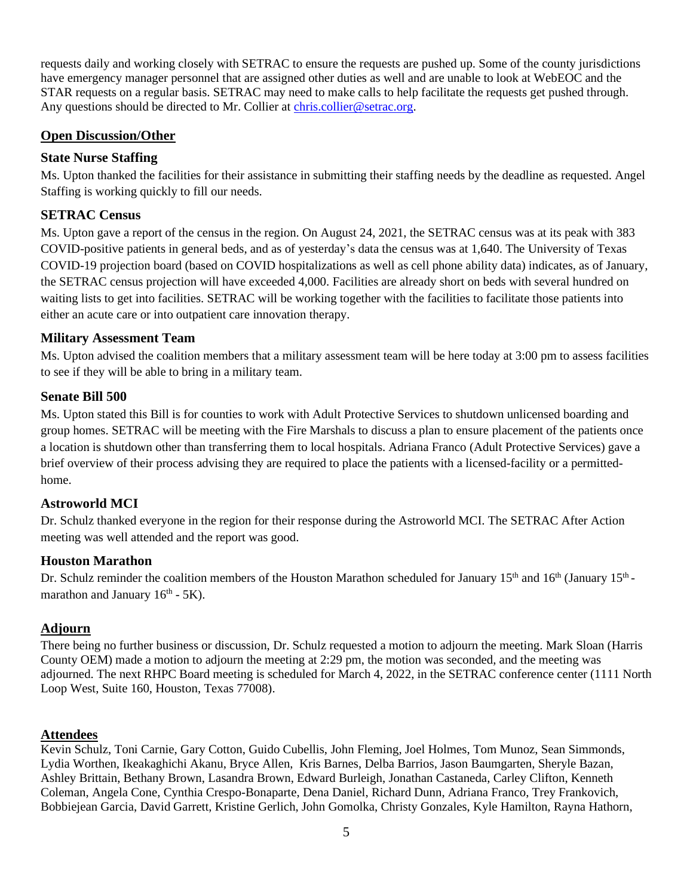requests daily and working closely with SETRAC to ensure the requests are pushed up. Some of the county jurisdictions have emergency manager personnel that are assigned other duties as well and are unable to look at WebEOC and the STAR requests on a regular basis. SETRAC may need to make calls to help facilitate the requests get pushed through. Any questions should be directed to Mr. Collier at [chris.collier@setrac.org.](mailto:chris.collier@setrac.org)

### **Open Discussion/Other**

### **State Nurse Staffing**

Ms. Upton thanked the facilities for their assistance in submitting their staffing needs by the deadline as requested. Angel Staffing is working quickly to fill our needs.

# **SETRAC Census**

Ms. Upton gave a report of the census in the region. On August 24, 2021, the SETRAC census was at its peak with 383 COVID-positive patients in general beds, and as of yesterday's data the census was at 1,640. The University of Texas COVID-19 projection board (based on COVID hospitalizations as well as cell phone ability data) indicates, as of January, the SETRAC census projection will have exceeded 4,000. Facilities are already short on beds with several hundred on waiting lists to get into facilities. SETRAC will be working together with the facilities to facilitate those patients into either an acute care or into outpatient care innovation therapy.

### **Military Assessment Team**

Ms. Upton advised the coalition members that a military assessment team will be here today at 3:00 pm to assess facilities to see if they will be able to bring in a military team.

#### **Senate Bill 500**

Ms. Upton stated this Bill is for counties to work with Adult Protective Services to shutdown unlicensed boarding and group homes. SETRAC will be meeting with the Fire Marshals to discuss a plan to ensure placement of the patients once a location is shutdown other than transferring them to local hospitals. Adriana Franco (Adult Protective Services) gave a brief overview of their process advising they are required to place the patients with a licensed-facility or a permittedhome.

# **Astroworld MCI**

Dr. Schulz thanked everyone in the region for their response during the Astroworld MCI. The SETRAC After Action meeting was well attended and the report was good.

# **Houston Marathon**

Dr. Schulz reminder the coalition members of the Houston Marathon scheduled for January 15<sup>th</sup> and 16<sup>th</sup> (January 15<sup>th</sup>marathon and January  $16<sup>th</sup> - 5K$ ).

# **Adjourn**

There being no further business or discussion, Dr. Schulz requested a motion to adjourn the meeting. Mark Sloan (Harris County OEM) made a motion to adjourn the meeting at 2:29 pm, the motion was seconded, and the meeting was adjourned. The next RHPC Board meeting is scheduled for March 4, 2022, in the SETRAC conference center (1111 North Loop West, Suite 160, Houston, Texas 77008).

#### **Attendees**

Kevin Schulz, Toni Carnie, Gary Cotton, Guido Cubellis, John Fleming, Joel Holmes, Tom Munoz, Sean Simmonds, Lydia Worthen, Ikeakaghichi Akanu, Bryce Allen, Kris Barnes, Delba Barrios, Jason Baumgarten, Sheryle Bazan, Ashley Brittain, Bethany Brown, Lasandra Brown, Edward Burleigh, Jonathan Castaneda, Carley Clifton, Kenneth Coleman, Angela Cone, Cynthia Crespo-Bonaparte, Dena Daniel, Richard Dunn, Adriana Franco, Trey Frankovich, Bobbiejean Garcia, David Garrett, Kristine Gerlich, John Gomolka, Christy Gonzales, Kyle Hamilton, Rayna Hathorn,